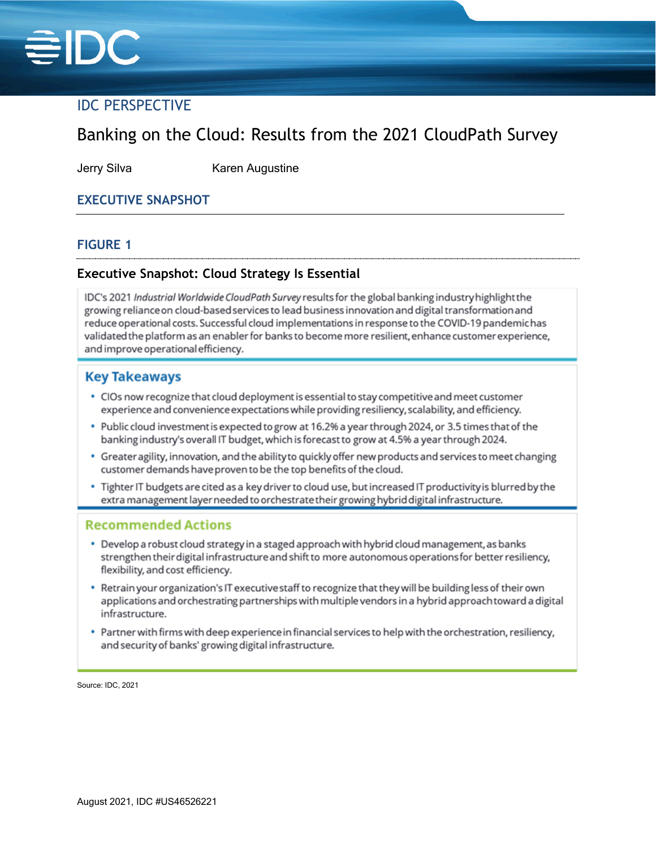

## IDC PERSPECTIVE

# Banking on the Cloud: Results from the 2021 CloudPath Survey

Jerry Silva Karen Augustine

### **EXECUTIVE SNAPSHOT**

#### **FIGURE 1**

#### **Executive Snapshot: Cloud Strategy Is Essential**

IDC's 2021 Industrial Worldwide CloudPath Survey results for the global banking industry highlight the growing reliance on cloud-based services to lead business innovation and digital transformation and reduce operational costs. Successful cloud implementations in response to the COVID-19 pandemichas validated the platform as an enabler for banks to become more resilient, enhance customer experience, and improve operational efficiency.

#### **Key Takeaways**

- CIOs now recognize that cloud deployment is essential to stay competitive and meet customer experience and convenience expectations while providing resiliency, scalability, and efficiency.
- . Public cloud investment is expected to grow at 16.2% a year through 2024, or 3.5 times that of the banking industry's overall IT budget, which is forecast to grow at 4.5% a year through 2024.
- Greater agility, innovation, and the ability to quickly offer new products and services to meet changing customer demands have proven to be the top benefits of the cloud.
- . Tighter IT budgets are cited as a key driver to cloud use, but increased IT productivity is blurred by the extra management layer needed to orchestrate their growing hybrid digital infrastructure.

#### **Recommended Actions**

- Develop a robust cloud strategy in a staged approach with hybrid cloud management, as banks strengthen their digital infrastructure and shift to more autonomous operations for better resiliency, flexibility, and cost efficiency.
- Retrain your organization's IT executive staff to recognize that they will be building less of their own applications and orchestrating partnerships with multiple vendors in a hybrid approach toward a digital infrastructure.
- Partner with firms with deep experience in financial services to help with the orchestration, resiliency, and security of banks' growing digital infrastructure.

Source: IDC, 2021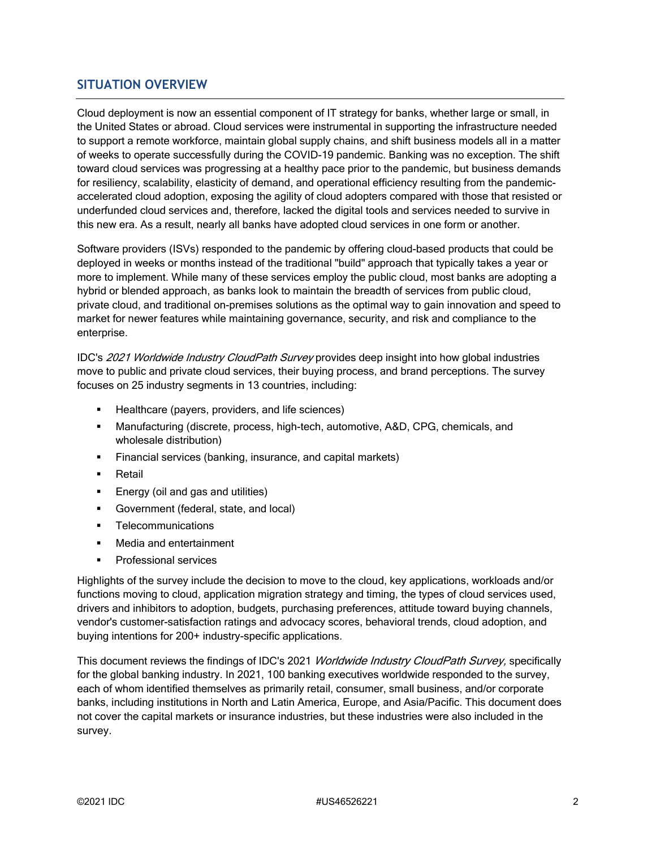#### **SITUATION OVERVIEW**

Cloud deployment is now an essential component of IT strategy for banks, whether large or small, in the United States or abroad. Cloud services were instrumental in supporting the infrastructure needed to support a remote workforce, maintain global supply chains, and shift business models all in a matter of weeks to operate successfully during the COVID-19 pandemic. Banking was no exception. The shift toward cloud services was progressing at a healthy pace prior to the pandemic, but business demands for resiliency, scalability, elasticity of demand, and operational efficiency resulting from the pandemicaccelerated cloud adoption, exposing the agility of cloud adopters compared with those that resisted or underfunded cloud services and, therefore, lacked the digital tools and services needed to survive in this new era. As a result, nearly all banks have adopted cloud services in one form or another.

Software providers (ISVs) responded to the pandemic by offering cloud-based products that could be deployed in weeks or months instead of the traditional "build" approach that typically takes a year or more to implement. While many of these services employ the public cloud, most banks are adopting a hybrid or blended approach, as banks look to maintain the breadth of services from public cloud, private cloud, and traditional on-premises solutions as the optimal way to gain innovation and speed to market for newer features while maintaining governance, security, and risk and compliance to the enterprise.

IDC's 2021 Worldwide Industry CloudPath Survey provides deep insight into how global industries move to public and private cloud services, their buying process, and brand perceptions. The survey focuses on 25 industry segments in 13 countries, including:

- **Healthcare (payers, providers, and life sciences)**
- Manufacturing (discrete, process, high-tech, automotive, A&D, CPG, chemicals, and wholesale distribution)
- **Financial services (banking, insurance, and capital markets)**
- **Retail**
- **Energy (oil and gas and utilities)**
- Government (federal, state, and local)
- **Telecommunications**
- **Nedia and entertainment**
- **Professional services**

Highlights of the survey include the decision to move to the cloud, key applications, workloads and/or functions moving to cloud, application migration strategy and timing, the types of cloud services used, drivers and inhibitors to adoption, budgets, purchasing preferences, attitude toward buying channels, vendor's customer-satisfaction ratings and advocacy scores, behavioral trends, cloud adoption, and buying intentions for 200+ industry-specific applications.

This document reviews the findings of IDC's 2021 Worldwide Industry CloudPath Survey, specifically for the global banking industry. In 2021, 100 banking executives worldwide responded to the survey, each of whom identified themselves as primarily retail, consumer, small business, and/or corporate banks, including institutions in North and Latin America, Europe, and Asia/Pacific. This document does not cover the capital markets or insurance industries, but these industries were also included in the survey.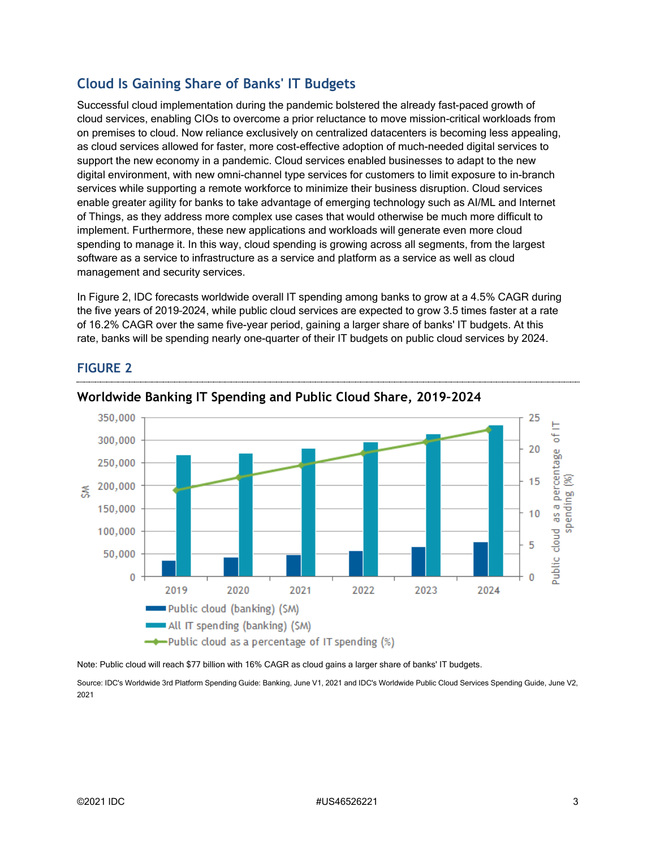## **Cloud Is Gaining Share of Banks' IT Budgets**

Successful cloud implementation during the pandemic bolstered the already fast-paced growth of cloud services, enabling CIOs to overcome a prior reluctance to move mission-critical workloads from on premises to cloud. Now reliance exclusively on centralized datacenters is becoming less appealing, as cloud services allowed for faster, more cost-effective adoption of much-needed digital services to support the new economy in a pandemic. Cloud services enabled businesses to adapt to the new digital environment, with new omni-channel type services for customers to limit exposure to in-branch services while supporting a remote workforce to minimize their business disruption. Cloud services enable greater agility for banks to take advantage of emerging technology such as AI/ML and Internet of Things, as they address more complex use cases that would otherwise be much more difficult to implement. Furthermore, these new applications and workloads will generate even more cloud spending to manage it. In this way, cloud spending is growing across all segments, from the largest software as a service to infrastructure as a service and platform as a service as well as cloud management and security services.

In Figure 2, IDC forecasts worldwide overall IT spending among banks to grow at a 4.5% CAGR during the five years of 2019–2024, while public cloud services are expected to grow 3.5 times faster at a rate of 16.2% CAGR over the same five-year period, gaining a larger share of banks' IT budgets. At this rate, banks will be spending nearly one-quarter of their IT budgets on public cloud services by 2024.



#### **FIGURE 2**

**Worldwide Banking IT Spending and Public Cloud Share, 2019–2024**

Note: Public cloud will reach \$77 billion with 16% CAGR as cloud gains a larger share of banks' IT budgets.

Source: IDC's Worldwide 3rd Platform Spending Guide: Banking, June V1, 2021 and IDC's Worldwide Public Cloud Services Spending Guide, June V2, 2021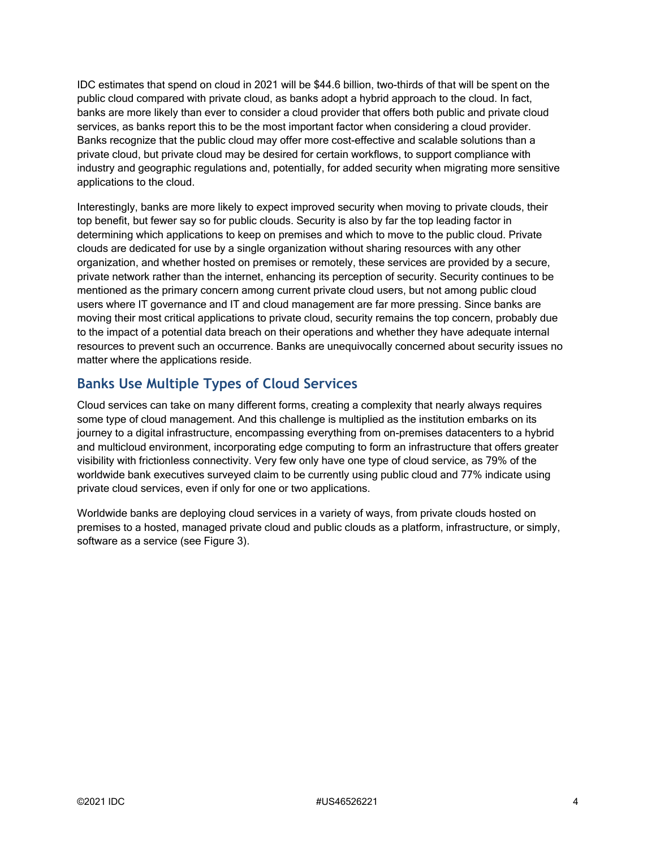IDC estimates that spend on cloud in 2021 will be \$44.6 billion, two-thirds of that will be spent on the public cloud compared with private cloud, as banks adopt a hybrid approach to the cloud. In fact, banks are more likely than ever to consider a cloud provider that offers both public and private cloud services, as banks report this to be the most important factor when considering a cloud provider. Banks recognize that the public cloud may offer more cost-effective and scalable solutions than a private cloud, but private cloud may be desired for certain workflows, to support compliance with industry and geographic regulations and, potentially, for added security when migrating more sensitive applications to the cloud.

Interestingly, banks are more likely to expect improved security when moving to private clouds, their top benefit, but fewer say so for public clouds. Security is also by far the top leading factor in determining which applications to keep on premises and which to move to the public cloud. Private clouds are dedicated for use by a single organization without sharing resources with any other organization, and whether hosted on premises or remotely, these services are provided by a secure, private network rather than the internet, enhancing its perception of security. Security continues to be mentioned as the primary concern among current private cloud users, but not among public cloud users where IT governance and IT and cloud management are far more pressing. Since banks are moving their most critical applications to private cloud, security remains the top concern, probably due to the impact of a potential data breach on their operations and whether they have adequate internal resources to prevent such an occurrence. Banks are unequivocally concerned about security issues no matter where the applications reside.

### **Banks Use Multiple Types of Cloud Services**

Cloud services can take on many different forms, creating a complexity that nearly always requires some type of cloud management. And this challenge is multiplied as the institution embarks on its journey to a digital infrastructure, encompassing everything from on-premises datacenters to a hybrid and multicloud environment, incorporating edge computing to form an infrastructure that offers greater visibility with frictionless connectivity. Very few only have one type of cloud service, as 79% of the worldwide bank executives surveyed claim to be currently using public cloud and 77% indicate using private cloud services, even if only for one or two applications.

Worldwide banks are deploying cloud services in a variety of ways, from private clouds hosted on premises to a hosted, managed private cloud and public clouds as a platform, infrastructure, or simply, software as a service (see Figure 3).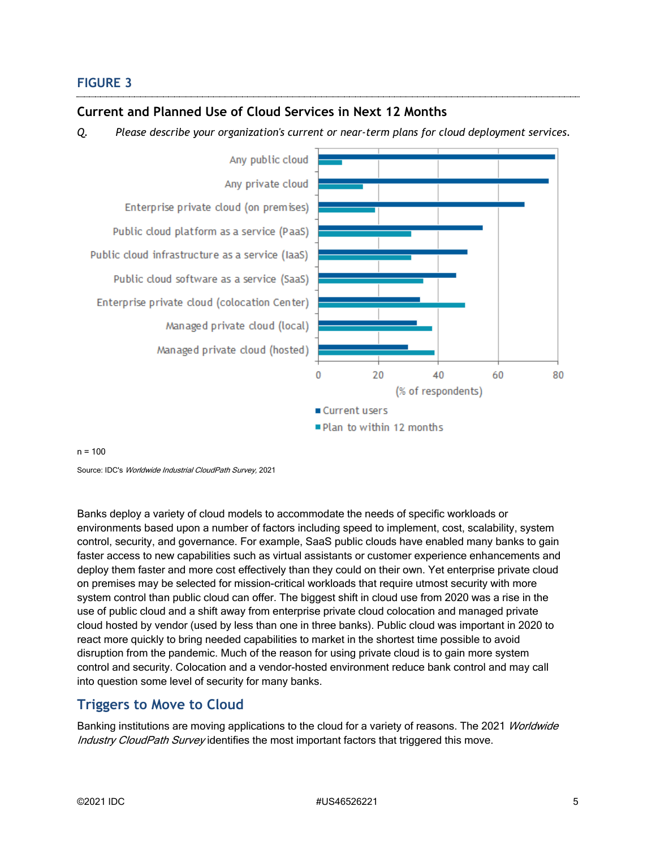#### **FIGURE 3**

#### **Current and Planned Use of Cloud Services in Next 12 Months**

*Q. Please describe your organization's current or near-term plans for cloud deployment services.*



#### $n = 100$

Source: IDC's Worldwide Industrial CloudPath Survey, 2021

Banks deploy a variety of cloud models to accommodate the needs of specific workloads or environments based upon a number of factors including speed to implement, cost, scalability, system control, security, and governance. For example, SaaS public clouds have enabled many banks to gain faster access to new capabilities such as virtual assistants or customer experience enhancements and deploy them faster and more cost effectively than they could on their own. Yet enterprise private cloud on premises may be selected for mission-critical workloads that require utmost security with more system control than public cloud can offer. The biggest shift in cloud use from 2020 was a rise in the use of public cloud and a shift away from enterprise private cloud colocation and managed private cloud hosted by vendor (used by less than one in three banks). Public cloud was important in 2020 to react more quickly to bring needed capabilities to market in the shortest time possible to avoid disruption from the pandemic. Much of the reason for using private cloud is to gain more system control and security. Colocation and a vendor-hosted environment reduce bank control and may call into question some level of security for many banks.

#### **Triggers to Move to Cloud**

Banking institutions are moving applications to the cloud for a variety of reasons. The 2021 Worldwide Industry CloudPath Survey identifies the most important factors that triggered this move.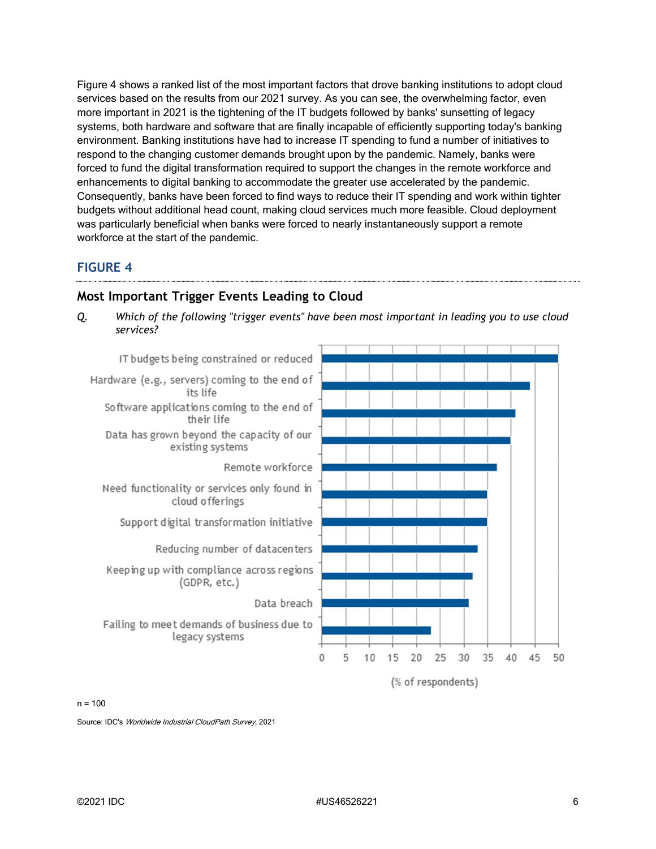Figure 4 shows a ranked list of the most important factors that drove banking institutions to adopt cloud services based on the results from our 2021 survey. As you can see, the overwhelming factor, even more important in 2021 is the tightening of the IT budgets followed by banks' sunsetting of legacy systems, both hardware and software that are finally incapable of efficiently supporting today's banking environment. Banking institutions have had to increase IT spending to fund a number of initiatives to respond to the changing customer demands brought upon by the pandemic. Namely, banks were forced to fund the digital transformation required to support the changes in the remote workforce and enhancements to digital banking to accommodate the greater use accelerated by the pandemic. Consequently, banks have been forced to find ways to reduce their IT spending and work within tighter budgets without additional head count, making cloud services much more feasible. Cloud deployment was particularly beneficial when banks were forced to nearly instantaneously support a remote workforce at the start of the pandemic.

#### **FIGURE 4**



#### **Most Important Trigger Events Leading to Cloud**

*Q. Which of the following "trigger events" have been most important in leading you to use cloud services?*

 $n = 100$ 

Source: IDC's Worldwide Industrial CloudPath Survey, 2021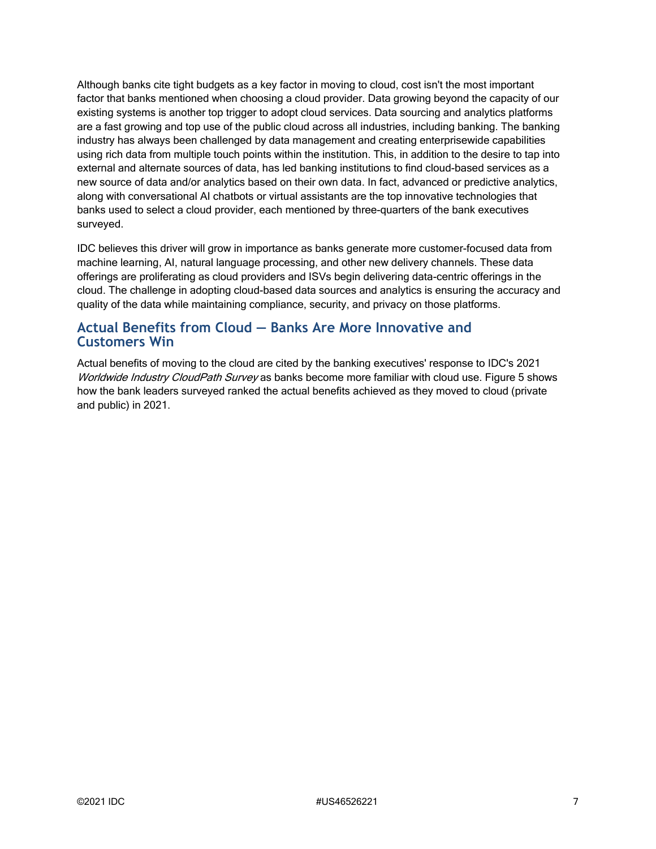Although banks cite tight budgets as a key factor in moving to cloud, cost isn't the most important factor that banks mentioned when choosing a cloud provider. Data growing beyond the capacity of our existing systems is another top trigger to adopt cloud services. Data sourcing and analytics platforms are a fast growing and top use of the public cloud across all industries, including banking. The banking industry has always been challenged by data management and creating enterprisewide capabilities using rich data from multiple touch points within the institution. This, in addition to the desire to tap into external and alternate sources of data, has led banking institutions to find cloud-based services as a new source of data and/or analytics based on their own data. In fact, advanced or predictive analytics, along with conversational AI chatbots or virtual assistants are the top innovative technologies that banks used to select a cloud provider, each mentioned by three-quarters of the bank executives surveyed.

IDC believes this driver will grow in importance as banks generate more customer-focused data from machine learning, AI, natural language processing, and other new delivery channels. These data offerings are proliferating as cloud providers and ISVs begin delivering data-centric offerings in the cloud. The challenge in adopting cloud-based data sources and analytics is ensuring the accuracy and quality of the data while maintaining compliance, security, and privacy on those platforms.

#### **Actual Benefits from Cloud — Banks Are More Innovative and Customers Win**

Actual benefits of moving to the cloud are cited by the banking executives' response to IDC's 2021 Worldwide Industry CloudPath Survey as banks become more familiar with cloud use. Figure 5 shows how the bank leaders surveyed ranked the actual benefits achieved as they moved to cloud (private and public) in 2021.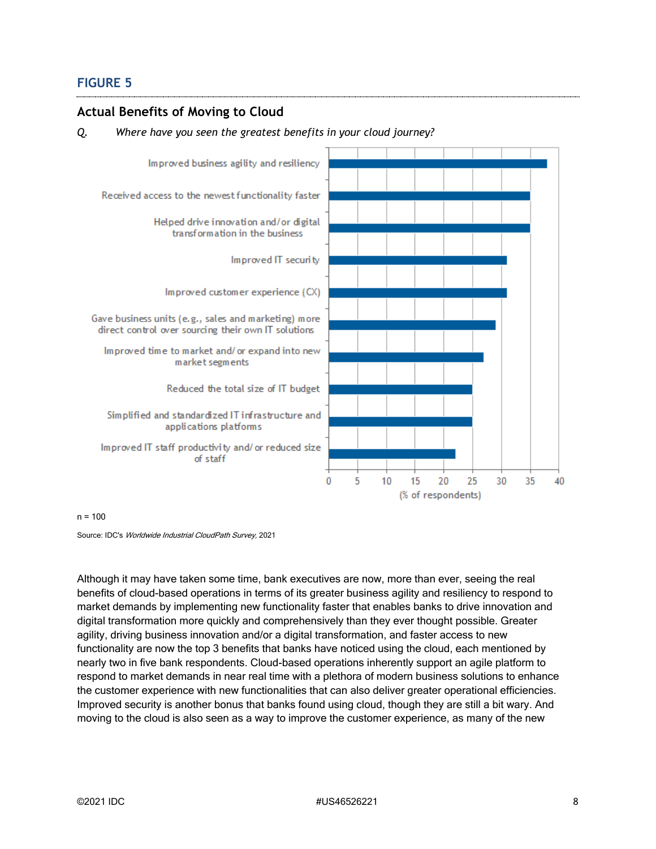#### **FIGURE 5**

#### **Actual Benefits of Moving to Cloud**

#### *Q. Where have you seen the greatest benefits in your cloud journey?*



 $n = 100$ 

Source: IDC's Worldwide Industrial CloudPath Survey, 2021

Although it may have taken some time, bank executives are now, more than ever, seeing the real benefits of cloud-based operations in terms of its greater business agility and resiliency to respond to market demands by implementing new functionality faster that enables banks to drive innovation and digital transformation more quickly and comprehensively than they ever thought possible. Greater agility, driving business innovation and/or a digital transformation, and faster access to new functionality are now the top 3 benefits that banks have noticed using the cloud, each mentioned by nearly two in five bank respondents. Cloud-based operations inherently support an agile platform to respond to market demands in near real time with a plethora of modern business solutions to enhance the customer experience with new functionalities that can also deliver greater operational efficiencies. Improved security is another bonus that banks found using cloud, though they are still a bit wary. And moving to the cloud is also seen as a way to improve the customer experience, as many of the new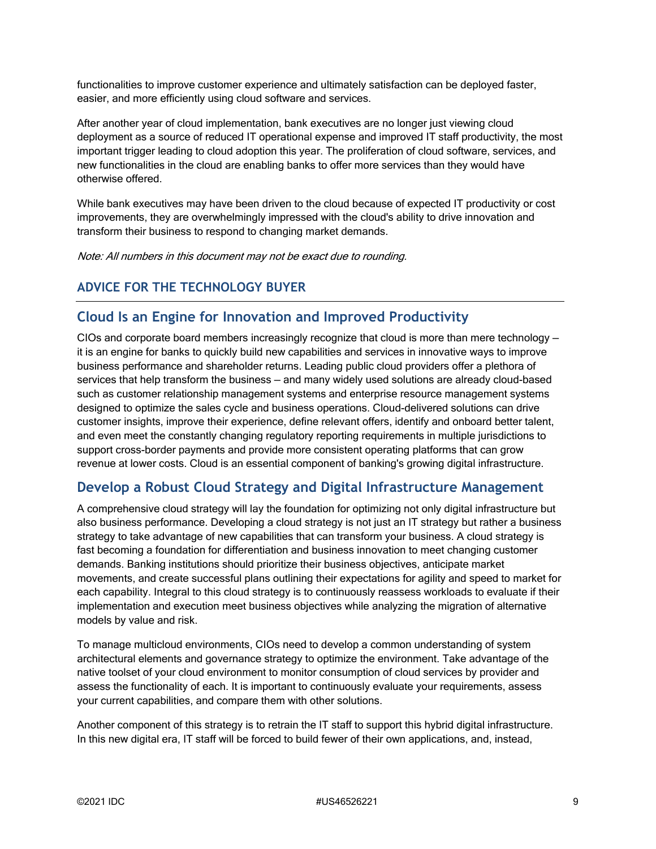functionalities to improve customer experience and ultimately satisfaction can be deployed faster, easier, and more efficiently using cloud software and services.

After another year of cloud implementation, bank executives are no longer just viewing cloud deployment as a source of reduced IT operational expense and improved IT staff productivity, the most important trigger leading to cloud adoption this year. The proliferation of cloud software, services, and new functionalities in the cloud are enabling banks to offer more services than they would have otherwise offered.

While bank executives may have been driven to the cloud because of expected IT productivity or cost improvements, they are overwhelmingly impressed with the cloud's ability to drive innovation and transform their business to respond to changing market demands.

Note: All numbers in this document may not be exact due to rounding.

### **ADVICE FOR THE TECHNOLOGY BUYER**

#### **Cloud Is an Engine for Innovation and Improved Productivity**

CIOs and corporate board members increasingly recognize that cloud is more than mere technology it is an engine for banks to quickly build new capabilities and services in innovative ways to improve business performance and shareholder returns. Leading public cloud providers offer a plethora of services that help transform the business — and many widely used solutions are already cloud-based such as customer relationship management systems and enterprise resource management systems designed to optimize the sales cycle and business operations. Cloud-delivered solutions can drive customer insights, improve their experience, define relevant offers, identify and onboard better talent, and even meet the constantly changing regulatory reporting requirements in multiple jurisdictions to support cross-border payments and provide more consistent operating platforms that can grow revenue at lower costs. Cloud is an essential component of banking's growing digital infrastructure.

#### **Develop a Robust Cloud Strategy and Digital Infrastructure Management**

A comprehensive cloud strategy will lay the foundation for optimizing not only digital infrastructure but also business performance. Developing a cloud strategy is not just an IT strategy but rather a business strategy to take advantage of new capabilities that can transform your business. A cloud strategy is fast becoming a foundation for differentiation and business innovation to meet changing customer demands. Banking institutions should prioritize their business objectives, anticipate market movements, and create successful plans outlining their expectations for agility and speed to market for each capability. Integral to this cloud strategy is to continuously reassess workloads to evaluate if their implementation and execution meet business objectives while analyzing the migration of alternative models by value and risk.

To manage multicloud environments, CIOs need to develop a common understanding of system architectural elements and governance strategy to optimize the environment. Take advantage of the native toolset of your cloud environment to monitor consumption of cloud services by provider and assess the functionality of each. It is important to continuously evaluate your requirements, assess your current capabilities, and compare them with other solutions.

Another component of this strategy is to retrain the IT staff to support this hybrid digital infrastructure. In this new digital era, IT staff will be forced to build fewer of their own applications, and, instead,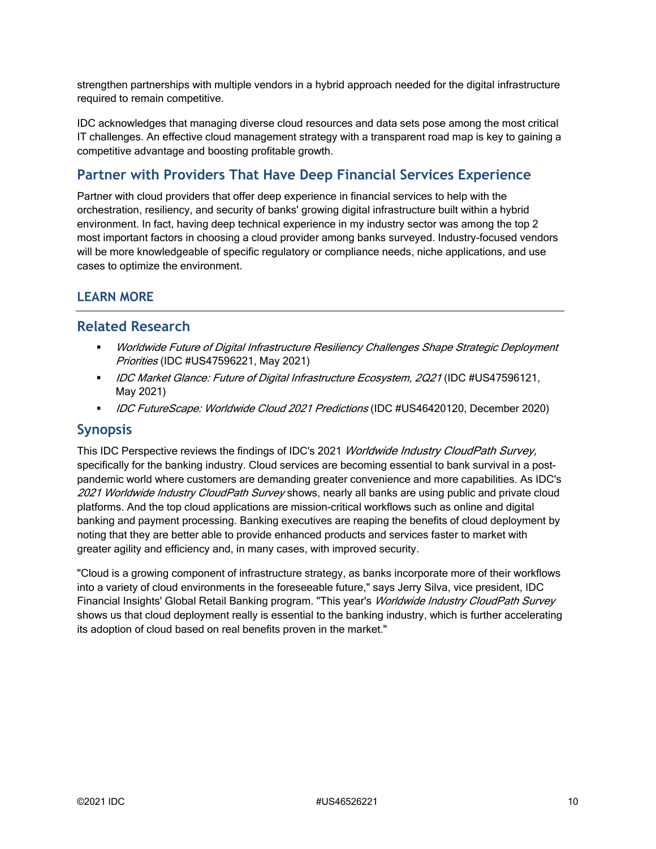strengthen partnerships with multiple vendors in a hybrid approach needed for the digital infrastructure required to remain competitive.

IDC acknowledges that managing diverse cloud resources and data sets pose among the most critical IT challenges. An effective cloud management strategy with a transparent road map is key to gaining a competitive advantage and boosting profitable growth.

### **Partner with Providers That Have Deep Financial Services Experience**

Partner with cloud providers that offer deep experience in financial services to help with the orchestration, resiliency, and security of banks' growing digital infrastructure built within a hybrid environment. In fact, having deep technical experience in my industry sector was among the top 2 most important factors in choosing a cloud provider among banks surveyed. Industry-focused vendors will be more knowledgeable of specific regulatory or compliance needs, niche applications, and use cases to optimize the environment.

#### **LEARN MORE**

#### **Related Research**

- Worldwide Future of Digital Infrastructure Resiliency Challenges Shape Strategic Deployment Priorities (IDC #US47596221, May 2021)
- IDC Market Glance: Future of Digital Infrastructure Ecosystem, 2Q21 (IDC #US47596121, May 2021)
- DC FutureScape: Worldwide Cloud 2021 Predictions (IDC #US46420120, December 2020)

#### **Synopsis**

This IDC Perspective reviews the findings of IDC's 2021 Worldwide Industry CloudPath Survey, specifically for the banking industry. Cloud services are becoming essential to bank survival in a postpandemic world where customers are demanding greater convenience and more capabilities. As IDC's 2021 Worldwide Industry CloudPath Survey shows, nearly all banks are using public and private cloud platforms. And the top cloud applications are mission-critical workflows such as online and digital banking and payment processing. Banking executives are reaping the benefits of cloud deployment by noting that they are better able to provide enhanced products and services faster to market with greater agility and efficiency and, in many cases, with improved security.

"Cloud is a growing component of infrastructure strategy, as banks incorporate more of their workflows into a variety of cloud environments in the foreseeable future," says Jerry Silva, vice president, IDC Financial Insights' Global Retail Banking program. "This year's Worldwide Industry CloudPath Survey shows us that cloud deployment really is essential to the banking industry, which is further accelerating its adoption of cloud based on real benefits proven in the market."